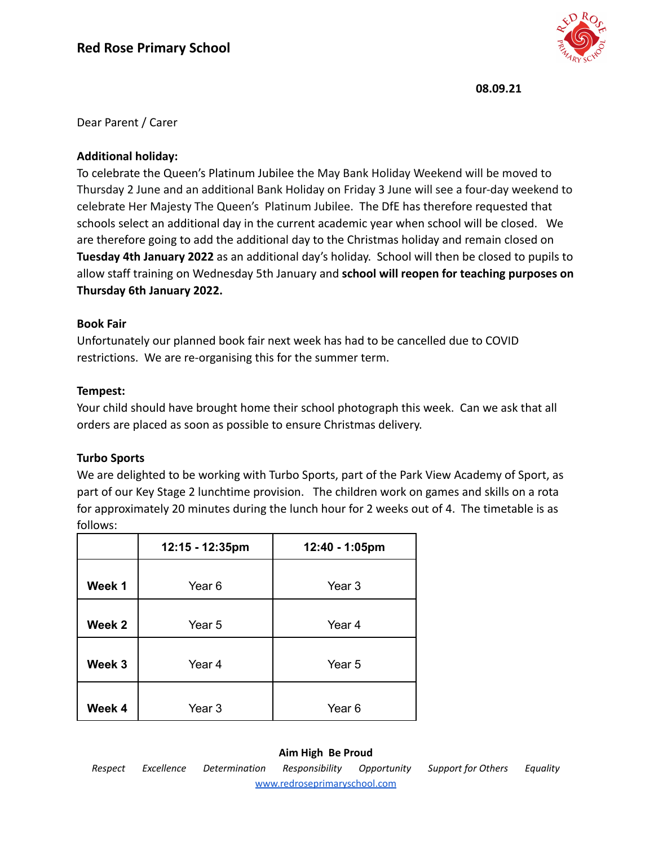

Dear Parent / Carer

# **Additional holiday:**

To celebrate the Queen's Platinum Jubilee the May Bank Holiday Weekend will be moved to Thursday 2 June and an additional Bank Holiday on Friday 3 June will see a four-day weekend to celebrate Her Majesty The Queen's Platinum Jubilee. The DfE has therefore requested that schools select an additional day in the current academic year when school will be closed. We are therefore going to add the additional day to the Christmas holiday and remain closed on **Tuesday 4th January 2022** as an additional day's holiday. School will then be closed to pupils to allow staff training on Wednesday 5th January and **school will reopen for teaching purposes on Thursday 6th January 2022.**

## **Book Fair**

Unfortunately our planned book fair next week has had to be cancelled due to COVID restrictions. We are re-organising this for the summer term.

## **Tempest:**

Your child should have brought home their school photograph this week. Can we ask that all orders are placed as soon as possible to ensure Christmas delivery.

# **Turbo Sports**

We are delighted to be working with Turbo Sports, part of the Park View Academy of Sport, as part of our Key Stage 2 lunchtime provision. The children work on games and skills on a rota for approximately 20 minutes during the lunch hour for 2 weeks out of 4. The timetable is as follows:

|        | 12:15 - 12:35pm   | 12:40 - 1:05pm |
|--------|-------------------|----------------|
| Week 1 | Year 6            | Year 3         |
| Week 2 | Year 5            | Year 4         |
| Week 3 | Year <sub>4</sub> | Year 5         |
| Week 4 | Year 3            | Year 6         |

# **Aim High Be Proud**